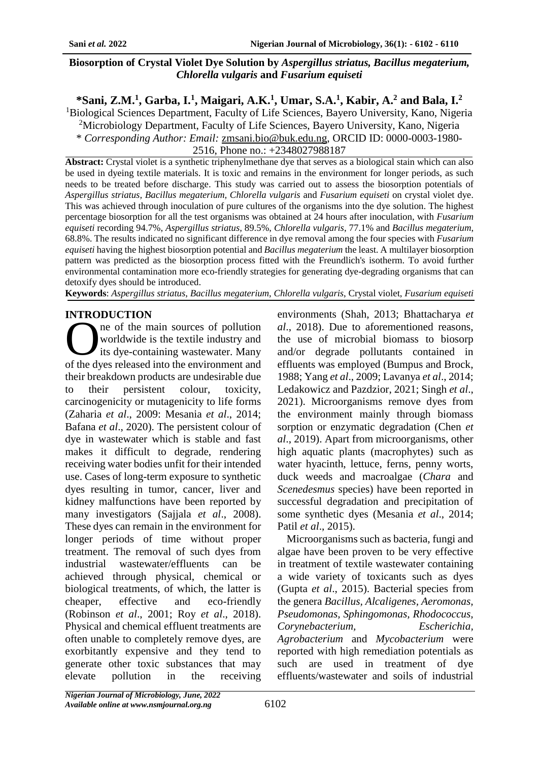### **Biosorption of Crystal Violet Dye Solution by** *Aspergillus striatus, Bacillus megaterium, Chlorella vulgaris* **and** *Fusarium equiseti*

**\*Sani, Z.M.<sup>1</sup> , Garba, I.<sup>1</sup> , Maigari, A.K.<sup>1</sup> , Umar, S.A.<sup>1</sup> , Kabir, A.<sup>2</sup> and Bala, I.<sup>2</sup>**

<sup>1</sup>Biological Sciences Department, Faculty of Life Sciences, Bayero University, Kano, Nigeria

<sup>2</sup>Microbiology Department, Faculty of Life Sciences, Bayero University, Kano, Nigeria

\* *Corresponding Author: Email:* [zmsani.bio@buk.edu.ng,](mailto:zmsani.bio@buk.edu.ng) ORCID ID: 0000-0003-1980-

2516, Phone no.: +2348027988187

**Abstract:** Crystal violet is a synthetic triphenylmethane dye that serves as a biological stain which can also be used in dyeing textile materials. It is toxic and remains in the environment for longer periods, as such needs to be treated before discharge. This study was carried out to assess the biosorption potentials of *Aspergillus striatus, Bacillus megaterium, Chlorella vulgaris* and *Fusarium equiseti* on crystal violet dye. This was achieved through inoculation of pure cultures of the organisms into the dye solution. The highest percentage biosorption for all the test organisms was obtained at 24 hours after inoculation, with *Fusarium equiseti* recording 94.7%, *Aspergillus striatus,* 89.5%, *Chlorella vulgaris*, 77.1% and *Bacillus megaterium*, 68.8%. The results indicated no significant difference in dye removal among the four species with *Fusarium equiseti* having the highest biosorption potential and *Bacillus megaterium* the least. A multilayer biosorption pattern was predicted as the biosorption process fitted with the Freundlich's isotherm. To avoid further environmental contamination more eco-friendly strategies for generating dye-degrading organisms that can detoxify dyes should be introduced.

**Keywords**: *Aspergillus striatus*, *Bacillus megaterium*, *Chlorella vulgaris*, Crystal violet, *Fusarium equiseti*

## **INTRODUCTION**

ne of the main sources of pollution worldwide is the textile industry and its dye-containing wastewater. Many The of the main sources of pollution<br>worldwide is the textile industry and<br>its dye-containing wastewater. Many<br>of the dyes released into the environment and their breakdown products are undesirable due to their persistent colour, toxicity, carcinogenicity or mutagenicity to life forms (Zaharia *et al*., 2009: Mesania *et al*., 2014; Bafana *et al*., 2020). The persistent colour of dye in wastewater which is stable and fast makes it difficult to degrade, rendering receiving water bodies unfit for their intended use. Cases of long-term exposure to synthetic dyes resulting in tumor, cancer, liver and kidney malfunctions have been reported by many investigators (Sajjala *et al*., 2008). These dyes can remain in the environment for longer periods of time without proper treatment. The removal of such dyes from industrial wastewater/effluents can be achieved through physical, chemical or biological treatments, of which, the latter is cheaper, effective and eco-friendly (Robinson *et al*., 2001; Roy *et al*., 2018). Physical and chemical effluent treatments are often unable to completely remove dyes, are exorbitantly expensive and they tend to generate other toxic substances that may elevate pollution in the receiving

environments (Shah, 2013; Bhattacharya *et al*., 2018). Due to aforementioned reasons, the use of microbial biomass to biosorp and/or degrade pollutants contained in effluents was employed (Bumpus and Brock, 1988; Yang *et al*., 2009; Lavanya *et al*., 2014; Ledakowicz and Pazdzior, 2021; Singh *et al*., 2021). Microorganisms remove dyes from the environment mainly through biomass sorption or enzymatic degradation (Chen *et al*., 2019). Apart from microorganisms, other high aquatic plants (macrophytes) such as water hyacinth, lettuce, ferns, penny worts, duck weeds and macroalgae (*Chara* and *Scenedesmus* species) have been reported in successful degradation and precipitation of some synthetic dyes (Mesania *et al*., 2014; Patil *et al*., 2015).

Microorganisms such as bacteria, fungi and algae have been proven to be very effective in treatment of textile wastewater containing a wide variety of toxicants such as dyes (Gupta *et al*., 2015). Bacterial species from the genera *Bacillus, Alcaligenes, Aeromonas, Pseudomonas, Sphingomonas, Rhodococcus, Corynebacterium, Escherichia, Agrobacterium* and *Mycobacterium* were reported with high remediation potentials as such are used in treatment of dye effluents/wastewater and soils of industrial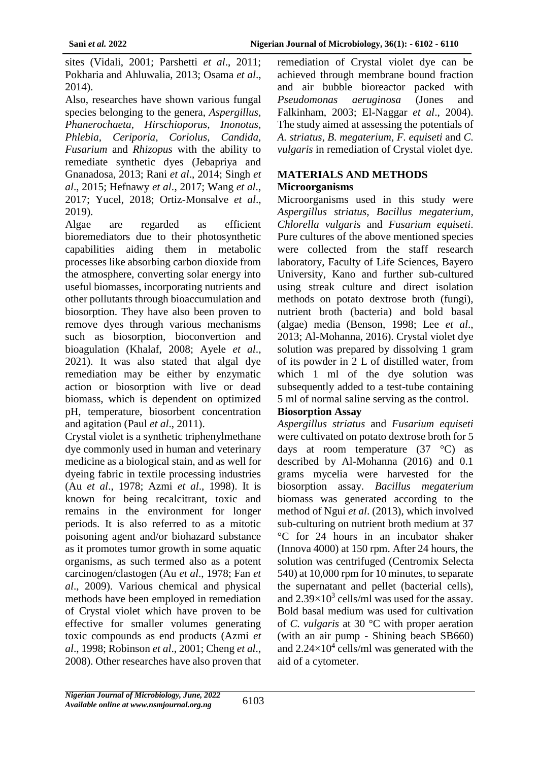sites (Vidali, 2001; Parshetti *et al*., 2011; Pokharia and Ahluwalia, 2013; Osama *et al*., 2014).

Also, researches have shown various fungal species belonging to the genera, *Aspergillus, Phanerochaeta, Hirschioporus, Inonotus, Phlebia, Ceriporia, Coriolus, Candida, Fusarium* and *Rhizopus* with the ability to remediate synthetic dyes (Jebapriya and Gnanadosa, 2013; Rani *et al*., 2014; Singh *et al*., 2015; Hefnawy *et al*., 2017; Wang *et al*., 2017; Yucel, 2018; Ortiz-Monsalve *et al*., 2019).

Algae are regarded as efficient bioremediators due to their photosynthetic capabilities aiding them in metabolic processes like absorbing carbon dioxide from the atmosphere, converting solar energy into useful biomasses, incorporating nutrients and other pollutants through bioaccumulation and biosorption. They have also been proven to remove dyes through various mechanisms such as biosorption, bioconvertion and bioagulation (Khalaf, 2008; Ayele *et al*., 2021). It was also stated that algal dye remediation may be either by enzymatic action or biosorption with live or dead biomass, which is dependent on optimized pH, temperature, biosorbent concentration and agitation (Paul *et al*., 2011).

Crystal violet is a synthetic triphenylmethane dye commonly used in human and veterinary medicine as a biological stain, and as well for dyeing fabric in textile processing industries (Au *et al*., 1978; Azmi *et al*., 1998). It is known for being recalcitrant, toxic and remains in the environment for longer periods. It is also referred to as a mitotic poisoning agent and/or biohazard substance as it promotes tumor growth in some aquatic organisms, as such termed also as a potent carcinogen/clastogen (Au *et al*., 1978; Fan *et al*., 2009). Various chemical and physical methods have been employed in remediation of Crystal violet which have proven to be effective for smaller volumes generating toxic compounds as end products (Azmi *et al*., 1998; Robinson *et al*., 2001; Cheng *et al*., 2008). Other researches have also proven that

remediation of Crystal violet dye can be achieved through membrane bound fraction and air bubble bioreactor packed with *Pseudomonas aeruginosa* (Jones and Falkinham, 2003; El-Naggar *et al*., 2004). The study aimed at assessing the potentials of *A. striatus, B. megaterium, F. equiseti* and *C. vulgaris* in remediation of Crystal violet dye.

## **MATERIALS AND METHODS Microorganisms**

Microorganisms used in this study were *Aspergillus striatus, Bacillus megaterium, Chlorella vulgaris* and *Fusarium equiseti*. Pure cultures of the above mentioned species were collected from the staff research laboratory, Faculty of Life Sciences, Bayero University, Kano and further sub-cultured using streak culture and direct isolation methods on potato dextrose broth (fungi), nutrient broth (bacteria) and bold basal (algae) media (Benson, 1998; Lee *et al*., 2013; Al-Mohanna, 2016). Crystal violet dye solution was prepared by dissolving 1 gram of its powder in 2 L of distilled water, from which 1 ml of the dye solution was subsequently added to a test-tube containing 5 ml of normal saline serving as the control.

#### **Biosorption Assay**

*Aspergillus striatus* and *Fusarium equiseti* were cultivated on potato dextrose broth for 5 days at room temperature (37 °C) as described by Al-Mohanna (2016) and 0.1 grams mycelia were harvested for the biosorption assay. *Bacillus megaterium* biomass was generated according to the method of Ngui *et al*. (2013), which involved sub-culturing on nutrient broth medium at 37 °C for 24 hours in an incubator shaker (Innova 4000) at 150 rpm. After 24 hours, the solution was centrifuged (Centromix Selecta 540) at 10,000 rpm for 10 minutes, to separate the supernatant and pellet (bacterial cells), and  $2.39\times10^3$  cells/ml was used for the assay. Bold basal medium was used for cultivation of *C. vulgaris* at 30 °C with proper aeration (with an air pump - Shining beach SB660) and  $2.24 \times 10^4$  cells/ml was generated with the aid of a cytometer.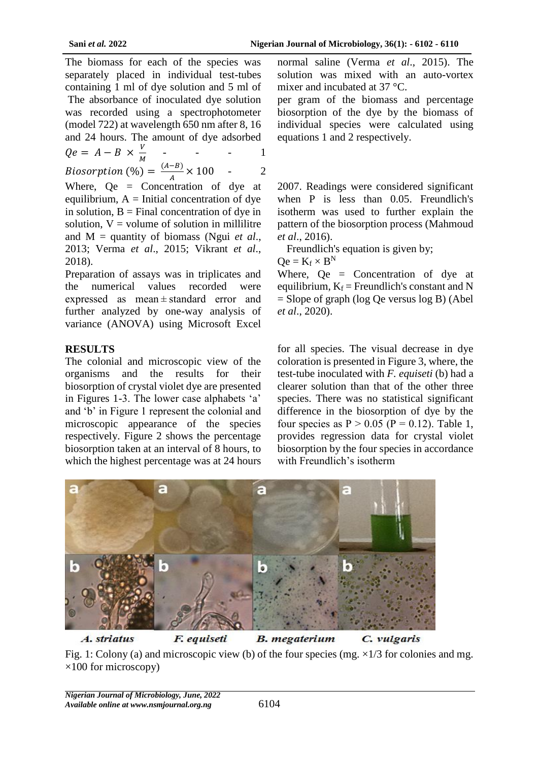The biomass for each of the species was separately placed in individual test-tubes containing 1 ml of dye solution and 5 ml of The absorbance of inoculated dye solution was recorded using a spectrophotometer (model 722) at wavelength 650 nm after 8, 16 and 24 hours. The amount of dye adsorbed  $Qe = A - B \times \frac{V}{M}$ M - - - 1

*Biosorption* (%) =  $\frac{(A-B)}{4}$  $\frac{-b}{A} \times 100$  - 2

Where, Qe = Concentration of dye at equilibrium,  $A =$ Initial concentration of dye in solution,  $B =$  Final concentration of dye in solution,  $V =$  volume of solution in millilitre and M = quantity of biomass (Ngui *et al*., 2013; Verma *et al*., 2015; Vikrant *et al*., 2018).

Preparation of assays was in triplicates and the numerical values recorded were expressed as mean ± standard error and further analyzed by one-way analysis of variance (ANOVA) using Microsoft Excel

## **RESULTS**

The colonial and microscopic view of the organisms and the results for their biosorption of crystal violet dye are presented in Figures 1-3. The lower case alphabets 'a' and 'b' in Figure 1 represent the colonial and microscopic appearance of the species respectively. Figure 2 shows the percentage biosorption taken at an interval of 8 hours, to which the highest percentage was at 24 hours

normal saline (Verma *et al*., 2015). The solution was mixed with an auto-vortex mixer and incubated at 37 °C.

per gram of the biomass and percentage biosorption of the dye by the biomass of individual species were calculated using equations 1 and 2 respectively.

2007. Readings were considered significant when P is less than 0.05. Freundlich's isotherm was used to further explain the pattern of the biosorption process (Mahmoud *et al*., 2016).

Freundlich's equation is given by;

 $Qe = K_f \times B^N$ 

Where,  $Qe =$  Concentration of dye at equilibrium,  $K_f$  = Freundlich's constant and N = Slope of graph (log Qe versus log B) (Abel *et al*., 2020).

for all species. The visual decrease in dye coloration is presented in Figure 3, where, the test-tube inoculated with *F. equiseti* (b) had a clearer solution than that of the other three species. There was no statistical significant difference in the biosorption of dye by the four species as  $P > 0.05$  (P = 0.12). Table 1, provides regression data for crystal violet biosorption by the four species in accordance with Freundlich's isotherm



Fig. 1: Colony (a) and microscopic view (b) of the four species (mg.  $\times$ 1/3 for colonies and mg.  $\times$ 100 for microscopy)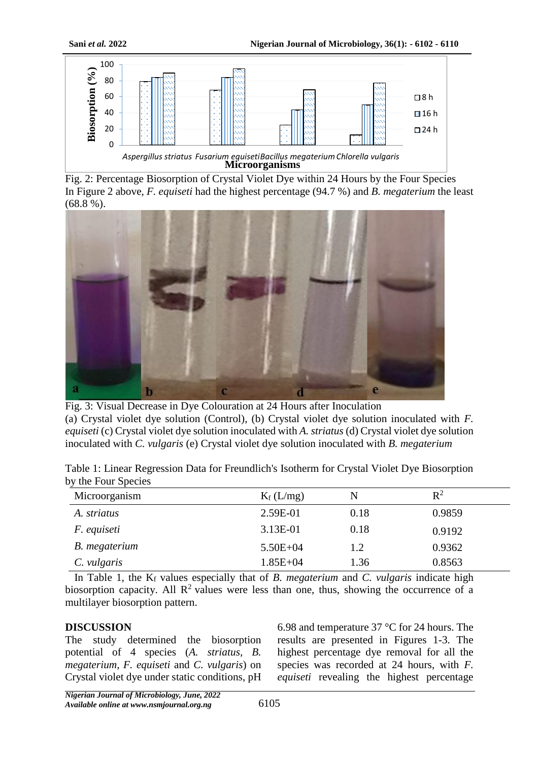

Fig. 2: Percentage Biosorption of Crystal Violet Dye within 24 Hours by the Four Species In Figure 2 above, *F. equiseti* had the highest percentage (94.7 %) and *B. megaterium* the least (68.8 %).



Fig. 3: Visual Decrease in Dye Colouration at 24 Hours after Inoculation (a) Crystal violet dye solution (Control), (b) Crystal violet dye solution inoculated with *F. equiseti* (c) Crystal violet dye solution inoculated with *A. striatus* (d) Crystal violet dye solution inoculated with *C. vulgaris* (e) Crystal violet dye solution inoculated with *B. megaterium*

Table 1: Linear Regression Data for Freundlich's Isotherm for Crystal Violet Dye Biosorption by the Four Species

| Microorganism      | $K_f(L/mg)$  | N    | $R^2$  |  |
|--------------------|--------------|------|--------|--|
| A. striatus        | 2.59E-01     | 0.18 | 0.9859 |  |
| <i>F.</i> equiseti | 3.13E-01     | 0.18 | 0.9192 |  |
| B. megaterium      | $5.50E + 04$ | 1.2  | 0.9362 |  |
| C. vulgaris        | $1.85E + 04$ | 1.36 | 0.8563 |  |

In Table 1, the  $K_f$  values especially that of *B. megaterium* and *C. vulgaris* indicate high biosorption capacity. All  $\mathbb{R}^2$  values were less than one, thus, showing the occurrence of a multilayer biosorption pattern.

#### **DISCUSSION**

The study determined the biosorption potential of 4 species (*A. striatus, B. megaterium, F. equiseti* and *C. vulgaris*) on Crystal violet dye under static conditions, pH

6.98 and temperature 37 °C for 24 hours. The results are presented in Figures 1-3. The highest percentage dye removal for all the species was recorded at 24 hours, with *F. equiseti* revealing the highest percentage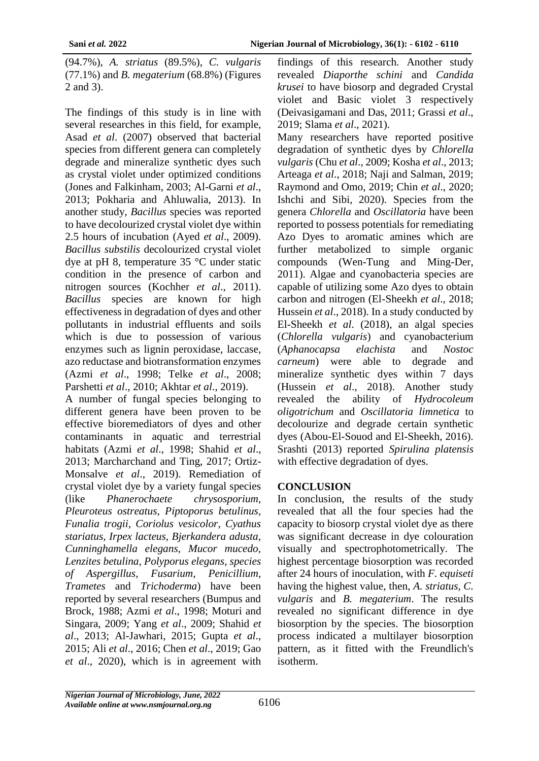(94.7%), *A. striatus* (89.5%), *C. vulgaris* (77.1%) and *B. megaterium* (68.8%) (Figures 2 and 3).

The findings of this study is in line with several researches in this field, for example, Asad *et al*. (2007) observed that bacterial species from different genera can completely degrade and mineralize synthetic dyes such as crystal violet under optimized conditions (Jones and Falkinham, 2003; Al-Garni *et al*., 2013; Pokharia and Ahluwalia, 2013). In another study, *Bacillus* species was reported to have decolourized crystal violet dye within 2.5 hours of incubation (Ayed *et al*., 2009). *Bacillus substilis* decolourized crystal violet dye at pH 8, temperature 35 °C under static condition in the presence of carbon and nitrogen sources (Kochher *et al*., 2011). *Bacillus* species are known for high effectiveness in degradation of dyes and other pollutants in industrial effluents and soils which is due to possession of various enzymes such as lignin peroxidase, laccase, azo reductase and biotransformation enzymes (Azmi *et al*., 1998; Telke *et al*., 2008; Parshetti *et al*., 2010; Akhtar *et al*., 2019).

A number of fungal species belonging to different genera have been proven to be effective bioremediators of dyes and other contaminants in aquatic and terrestrial habitats (Azmi *et al*., 1998; Shahid *et al*., 2013; Marcharchand and Ting, 2017; Ortiz-Monsalve *et al*., 2019). Remediation of crystal violet dye by a variety fungal species (like *Phanerochaete chrysosporium, Pleuroteus ostreatus, Piptoporus betulinus, Funalia trogii, Coriolus vesicolor, Cyathus stariatus, Irpex lacteus, Bjerkandera adusta, Cunninghamella elegans, Mucor mucedo, Lenzites betulina, Polyporus elegans, species of Aspergillus, Fusarium, Penicillium, Trametes* and *Trichoderma*) have been reported by several researchers (Bumpus and Brock, 1988; Azmi *et al*., 1998; Moturi and Singara, 2009; Yang *et al*., 2009; Shahid *et al*., 2013; Al-Jawhari, 2015; Gupta *et al*., 2015; Ali *et al*., 2016; Chen *et al*., 2019; Gao *et al*., 2020), which is in agreement with

findings of this research. Another study revealed *Diaporthe schini* and *Candida krusei* to have biosorp and degraded Crystal violet and Basic violet 3 respectively (Deivasigamani and Das, 2011; Grassi *et al*., 2019; Slama *et al*., 2021).

Many researchers have reported positive degradation of synthetic dyes by *Chlorella vulgaris* (Chu *et al*., 2009; Kosha *et al*., 2013; Arteaga *et al*., 2018; Naji and Salman, 2019; Raymond and Omo, 2019; Chin *et al*., 2020; Ishchi and Sibi, 2020). Species from the genera *Chlorella* and *Oscillatoria* have been reported to possess potentials for remediating Azo Dyes to aromatic amines which are further metabolized to simple organic compounds (Wen-Tung and Ming-Der, 2011). Algae and cyanobacteria species are capable of utilizing some Azo dyes to obtain carbon and nitrogen (El-Sheekh *et al*., 2018; Hussein *et al*., 2018). In a study conducted by El-Sheekh *et al*. (2018), an algal species (*Chlorella vulgaris*) and cyanobacterium (*Aphanocapsa elachista* and *Nostoc carneum*) were able to degrade and mineralize synthetic dyes within 7 days (Hussein *et al*., 2018). Another study revealed the ability of *Hydrocoleum oligotrichum* and *Oscillatoria limnetica* to decolourize and degrade certain synthetic dyes (Abou-El-Souod and El-Sheekh, 2016). Srashti (2013) reported *Spirulina platensis* with effective degradation of dyes.

# **CONCLUSION**

In conclusion, the results of the study revealed that all the four species had the capacity to biosorp crystal violet dye as there was significant decrease in dye colouration visually and spectrophotometrically. The highest percentage biosorption was recorded after 24 hours of inoculation, with *F. equiseti* having the highest value, then, *A. striatus, C. vulgaris* and *B. megaterium*. The results revealed no significant difference in dye biosorption by the species. The biosorption process indicated a multilayer biosorption pattern, as it fitted with the Freundlich's isotherm.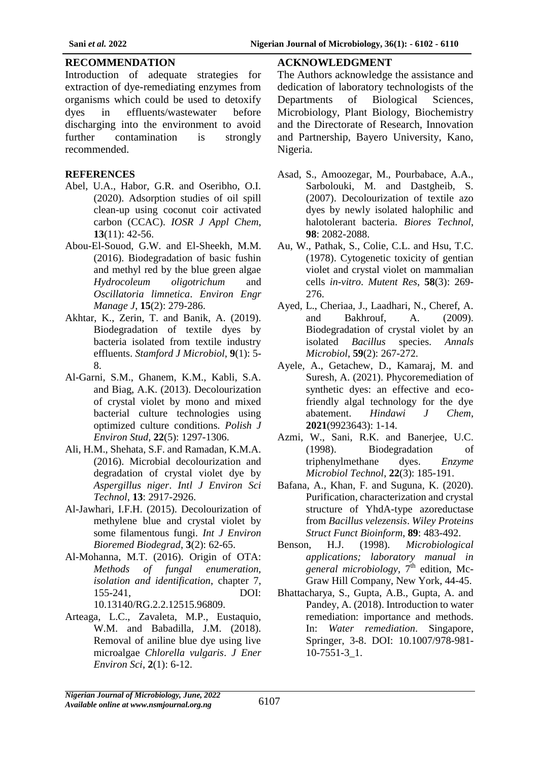#### **RECOMMENDATION**

Introduction of adequate strategies for extraction of dye-remediating enzymes from organisms which could be used to detoxify dyes in effluents/wastewater before discharging into the environment to avoid further contamination is strongly recommended.

### **REFERENCES**

- Abel, U.A., Habor, G.R. and Oseribho, O.I. (2020). Adsorption studies of oil spill clean-up using coconut coir activated carbon (CCAC). *IOSR J Appl Chem*, **13**(11): 42-56.
- Abou-El-Souod, G.W. and El-Sheekh, M.M. (2016). Biodegradation of basic fushin and methyl red by the blue green algae *Hydrocoleum oligotrichum* and *Oscillatoria limnetica*. *Environ Engr Manage J*, **15**(2): 279-286.
- Akhtar, K., Zerin, T. and Banik, A. (2019). Biodegradation of textile dyes by bacteria isolated from textile industry effluents. *Stamford J Microbiol*, **9**(1): 5- 8.
- Al-Garni, S.M., Ghanem, K.M., Kabli, S.A. and Biag, A.K. (2013). Decolourization of crystal violet by mono and mixed bacterial culture technologies using optimized culture conditions. *Polish J Environ Stud*, **22**(5): 1297-1306.
- Ali, H.M., Shehata, S.F. and Ramadan, K.M.A. (2016). Microbial decolourization and degradation of crystal violet dye by *Aspergillus niger*. *Intl J Environ Sci Technol*, **13**: 2917-2926.
- Al-Jawhari, I.F.H. (2015). Decolourization of methylene blue and crystal violet by some filamentous fungi. *Int J Environ Bioremed Biodegrad*, **3**(2): 62-65.
- Al-Mohanna, M.T. (2016). Origin of OTA: *Methods of fungal enumeration, isolation and identification*, chapter 7, 155-241, DOI: 10.13140/RG.2.2.12515.96809.
- Arteaga, L.C., Zavaleta, M.P., Eustaquio, W.M. and Babadilla, J.M. (2018). Removal of aniline blue dye using live microalgae *Chlorella vulgaris*. *J Ener Environ Sci*, **2**(1): 6-12.

### **ACKNOWLEDGMENT**

The Authors acknowledge the assistance and dedication of laboratory technologists of the Departments of Biological Sciences, Microbiology, Plant Biology, Biochemistry and the Directorate of Research, Innovation and Partnership, Bayero University, Kano, Nigeria.

- Asad, S., Amoozegar, M., Pourbabace, A.A., Sarbolouki, M. and Dastgheib, S. (2007). Decolourization of textile azo dyes by newly isolated halophilic and halotolerant bacteria. *Biores Technol*, **98**: 2082-2088.
- Au, W., Pathak, S., Colie, C.L. and Hsu, T.C. (1978). Cytogenetic toxicity of gentian violet and crystal violet on mammalian cells *in-vitro*. *Mutent Res*, **58**(3): 269- 276.
- Ayed, L., Cheriaa, J., Laadhari, N., Cheref, A. and Bakhrouf, A. (2009). Biodegradation of crystal violet by an isolated *Bacillus* species. *Annals Microbiol*, **59**(2): 267-272.
- Ayele, A., Getachew, D., Kamaraj, M. and Suresh, A. (2021). Phycoremediation of synthetic dyes: an effective and ecofriendly algal technology for the dye abatement. *Hindawi J Chem*, **2021**(9923643): 1-14.
- Azmi, W., Sani, R.K. and Banerjee, U.C. (1998). Biodegradation of triphenylmethane dyes. *Enzyme Microbiol Technol*, **22**(3): 185-191.
- Bafana, A., Khan, F. and Suguna, K. (2020). Purification, characterization and crystal structure of YhdA-type azoreductase from *Bacillus velezensis*. *Wiley Proteins Struct Funct Bioinform*, **89**: 483-492.
- Benson, H.J. (1998). *Microbiological applications; laboratory manual in general microbiology*,  $7<sup>th</sup>$  edition, Mc-Graw Hill Company, New York, 44-45.
- Bhattacharya, S., Gupta, A.B., Gupta, A. and Pandey, A. (2018). Introduction to water remediation: importance and methods. In: *Water remediation*. Singapore, Springer, 3-8. DOI: 10.1007/978-981- 10-7551-3\_1.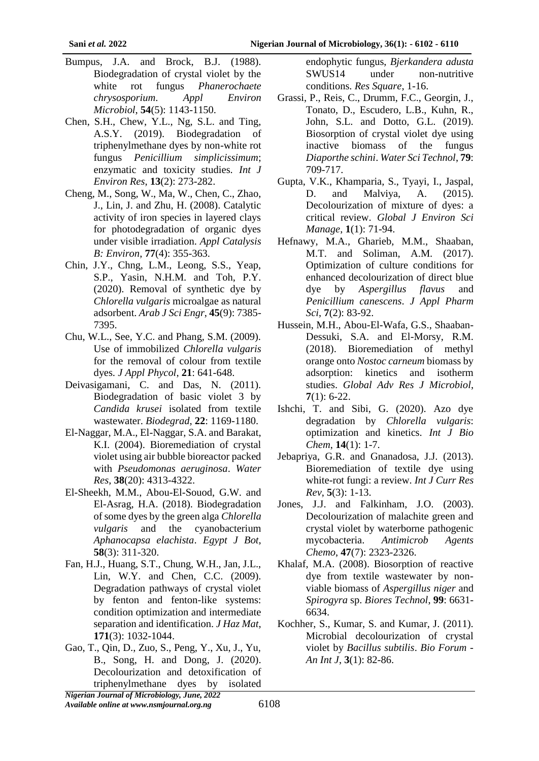- Bumpus, J.A. and Brock, B.J. (1988). Biodegradation of crystal violet by the white rot fungus *Phanerochaete chrysosporium*. *Appl Environ Microbiol*, **54**(5): 1143-1150.
- Chen, S.H., Chew, Y.L., Ng, S.L. and Ting, A.S.Y. (2019). Biodegradation of triphenylmethane dyes by non-white rot fungus *Penicillium simplicissimum*; enzymatic and toxicity studies. *Int J Environ Res*, **13**(2): 273-282.
- Cheng, M., Song, W., Ma, W., Chen, C., Zhao, J., Lin, J. and Zhu, H. (2008). Catalytic activity of iron species in layered clays for photodegradation of organic dyes under visible irradiation. *Appl Catalysis B: Environ*, **77**(4): 355-363.
- Chin, J.Y., Chng, L.M., Leong, S.S., Yeap, S.P., Yasin, N.H.M. and Toh, P.Y. (2020). Removal of synthetic dye by *Chlorella vulgaris* microalgae as natural adsorbent. *Arab J Sci Engr*, **45**(9): 7385- 7395.
- Chu, W.L., See, Y.C. and Phang, S.M. (2009). Use of immobilized *Chlorella vulgaris* for the removal of colour from textile dyes. *J Appl Phycol*, **21**: 641-648.
- Deivasigamani, C. and Das, N. (2011). Biodegradation of basic violet 3 by *Candida krusei* isolated from textile wastewater. *Biodegrad*, **22**: 1169-1180.
- El-Naggar, M.A., El-Naggar, S.A. and Barakat, K.I. (2004). Bioremediation of crystal violet using air bubble bioreactor packed with *Pseudomonas aeruginosa*. *Water Res*, **38**(20): 4313-4322.
- El-Sheekh, M.M., Abou-El-Souod, G.W. and El-Asrag, H.A. (2018). Biodegradation of some dyes by the green alga *Chlorella vulgaris* and the cyanobacterium *Aphanocapsa elachista*. *Egypt J Bot*, **58**(3): 311-320.
- Fan, H.J., Huang, S.T., Chung, W.H., Jan, J.L., Lin, W.Y. and Chen, C.C. (2009). Degradation pathways of crystal violet by fenton and fenton-like systems: condition optimization and intermediate separation and identification. *J Haz Mat*, **171**(3): 1032-1044.
- Gao, T., Qin, D., Zuo, S., Peng, Y., Xu, J., Yu, B., Song, H. and Dong, J. (2020). Decolourization and detoxification of triphenylmethane dyes by isolated

endophytic fungus, *Bjerkandera adusta* SWUS14 under non-nutritive conditions. *Res Square*, 1-16.

- Grassi, P., Reis, C., Drumm, F.C., Georgin, J., Tonato, D., Escudero, L.B., Kuhn, R., John, S.L. and Dotto, G.L. (2019). Biosorption of crystal violet dye using inactive biomass of the fungus *Diaporthe schini*. *Water Sci Technol*, **79**: 709-717.
- Gupta, V.K., Khamparia, S., Tyayi, I., Jaspal, D. and Malviya, A. (2015). Decolourization of mixture of dyes: a critical review. *Global J Environ Sci Manage*, **1**(1): 71-94.
- Hefnawy, M.A., Gharieb, M.M., Shaaban, M.T. and Soliman, A.M. (2017). Optimization of culture conditions for enhanced decolourization of direct blue dye by *Aspergillus flavus* and *Penicillium canescens*. *J Appl Pharm Sci*, **7**(2): 83-92.
- Hussein, M.H., Abou-El-Wafa, G.S., Shaaban-Dessuki, S.A. and El-Morsy, R.M. (2018). Bioremediation of methyl orange onto *Nostoc carneum* biomass by adsorption: kinetics and isotherm studies. *Global Adv Res J Microbiol*, **7**(1): 6-22.
- Ishchi, T. and Sibi, G. (2020). Azo dye degradation by *Chlorella vulgaris*: optimization and kinetics. *Int J Bio Chem*, **14**(1): 1-7.
- Jebapriya, G.R. and Gnanadosa, J.J. (2013). Bioremediation of textile dye using white-rot fungi: a review. *Int J Curr Res Rev*, **5**(3): 1-13.
- Jones, J.J. and Falkinham, J.O. (2003). Decolourization of malachite green and crystal violet by waterborne pathogenic mycobacteria. *Antimicrob Agents Chemo*, **47**(7): 2323-2326.
- Khalaf, M.A. (2008). Biosorption of reactive dye from textile wastewater by nonviable biomass of *Aspergillus niger* and *Spirogyra* sp. *Biores Technol*, **99**: 6631- 6634.
- Kochher, S., Kumar, S. and Kumar, J. (2011). Microbial decolourization of crystal violet by *Bacillus subtilis*. *Bio Forum - An Int J*, **3**(1): 82-86.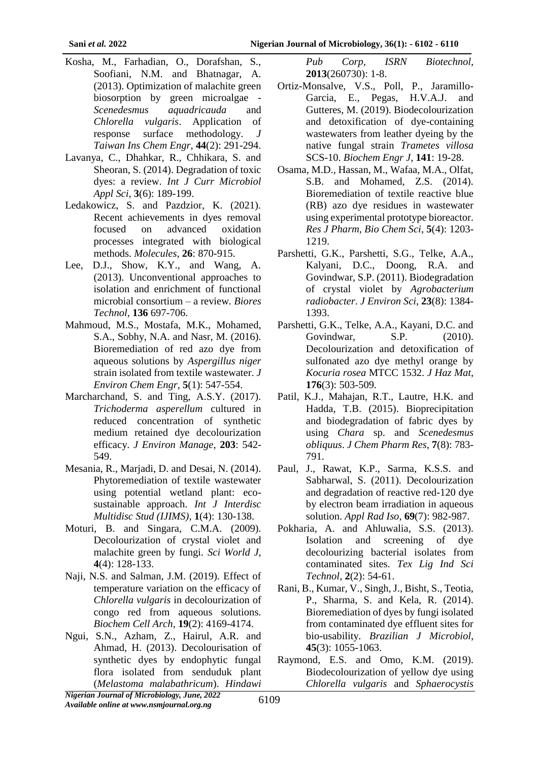- Kosha, M., Farhadian, O., Dorafshan, S., Soofiani, N.M. and Bhatnagar, A. (2013). Optimization of malachite green biosorption by green microalgae - *Scenedesmus aquadricauda* and *Chlorella vulgaris*. Application of response surface methodology. *J Taiwan Ins Chem Engr*, **44**(2): 291-294.
- Lavanya, C., Dhahkar, R., Chhikara, S. and Sheoran, S. (2014). Degradation of toxic dyes: a review. *Int J Curr Microbiol Appl Sci*, **3**(6): 189-199.
- Ledakowicz, S. and Pazdzior, K. (2021). Recent achievements in dyes removal focused on advanced oxidation processes integrated with biological methods. *Molecules*, **26**: 870-915.
- Lee, D.J., Show, K.Y., and Wang, A. (2013). Unconventional approaches to isolation and enrichment of functional microbial consortium – a review*. Biores Technol,* **136** 697-706.
- Mahmoud, M.S., Mostafa, M.K., Mohamed, S.A., Sobhy, N.A. and Nasr, M. (2016). Bioremediation of red azo dye from aqueous solutions by *Aspergillus niger* strain isolated from textile wastewater. *J Environ Chem Engr*, **5**(1): 547-554.
- Marcharchand, S. and Ting, A.S.Y. (2017). *Trichoderma asperellum* cultured in reduced concentration of synthetic medium retained dye decolourization efficacy. *J Environ Manage*, **203**: 542- 549.
- Mesania, R., Marjadi, D. and Desai, N. (2014). Phytoremediation of textile wastewater using potential wetland plant: ecosustainable approach. *Int J Interdisc Multidisc Stud (IJIMS)*, **1**(4): 130-138.
- Moturi, B. and Singara, C.M.A. (2009). Decolourization of crystal violet and malachite green by fungi. *Sci World J*, **4**(4): 128-133.
- Naji, N.S. and Salman, J.M. (2019). Effect of temperature variation on the efficacy of *Chlorella vulgaris* in decolourization of congo red from aqueous solutions. *Biochem Cell Arch*, **19**(2): 4169-4174.
- Ngui, S.N., Azham, Z., Hairul, A.R. and Ahmad, H. (2013). Decolourisation of synthetic dyes by endophytic fungal flora isolated from senduduk plant (*Melastoma malabathricum*). *Hindawi*

*Pub Corp, ISRN Biotechnol*, **2013**(260730): 1-8.

- Ortiz-Monsalve, V.S., Poll, P., Jaramillo-Garcia, E., Pegas, H.V.A.J. and Gutteres, M. (2019). Biodecolourization and detoxification of dye-containing wastewaters from leather dyeing by the native fungal strain *Trametes villosa* SCS-10. *Biochem Engr J*, **141**: 19-28.
- Osama, M.D., Hassan, M., Wafaa, M.A., Olfat, S.B. and Mohamed, Z.S. (2014). Bioremediation of textile reactive blue (RB) azo dye residues in wastewater using experimental prototype bioreactor. *Res J Pharm, Bio Chem Sci*, **5**(4): 1203- 1219.
- Parshetti, G.K., Parshetti, S.G., Telke, A.A., Kalyani, D.C., Doong, R.A. and Govindwar, S.P. (2011). Biodegradation of crystal violet by *Agrobacterium radiobacter*. *J Environ Sci*, **23**(8): 1384- 1393.
- Parshetti, G.K., Telke, A.A., Kayani, D.C. and Govindwar, S.P. (2010). Decolourization and detoxification of sulfonated azo dye methyl orange by *Kocuria rosea* MTCC 1532. *J Haz Mat*, **176**(3): 503-509.
- Patil, K.J., Mahajan, R.T., Lautre, H.K. and Hadda, T.B. (2015). Bioprecipitation and biodegradation of fabric dyes by using *Chara* sp. and *Scenedesmus obliquus*. *J Chem Pharm Res*, **7**(8): 783- 791.
- Paul, J., Rawat, K.P., Sarma, K.S.S. and Sabharwal, S. (2011). Decolourization and degradation of reactive red-120 dye by electron beam irradiation in aqueous solution. *Appl Rad Iso*, **69**(7): 982-987.
- Pokharia, A. and Ahluwalia, S.S. (2013). Isolation and screening of dye decolourizing bacterial isolates from contaminated sites. *Tex Lig Ind Sci Technol*, **2**(2): 54-61.
- Rani, B., Kumar, V., Singh, J., Bisht, S., Teotia, P., Sharma, S. and Kela, R. (2014). Bioremediation of dyes by fungi isolated from contaminated dye effluent sites for bio-usability. *Brazilian J Microbiol*, **45**(3): 1055-1063.
- Raymond, E.S. and Omo, K.M. (2019). Biodecolourization of yellow dye using *Chlorella vulgaris* and *Sphaerocystis*